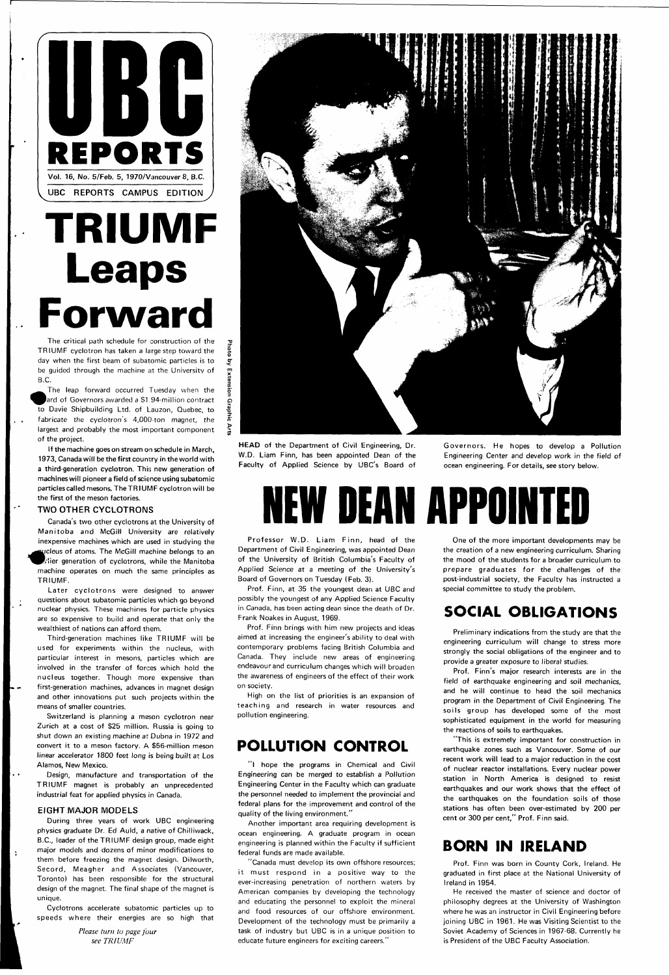

# **TRIUMF Leaps Forward**

TRIUMF cyclotron has taken a large step toward the day when the first beam of subatomic particles is to be quided through the machine at the University of be guided through the machine at the University of

The leap forward occurred Tuesday when the ard of Governors awarded a \$1.94-million contract to Davie Shipbuilding Ltd. of Lauzon, Quebec, to fabricate the cyclotron's 4,000-ton magnet, the fabricate the cyclotron  $\mathcal{L}_1$  , the cyclotron magnetic theorem is the cyclotron magnetic theorem in  $\mathcal{L}_2$ largest and probably the most important component of the project.<br>If the machine goes on stream on schedule in March,

1973, Canada will be the first country in the world with a third-generation cyclotron. This new generation of machines will pioneer a field of science using subatomic particles called mesons. The TRIUMF cyclotron will be the first of the meson factories. the first of the meson factories.

Later cyclotrons were designed to answer questions about subatomic particles which go beyond nuclear physics. These machines for particle physics are so expensive to build and operate that only the wealthiest of nations can afford them.

### TWO OTHER CYCLOTRONS

Canada's two other cyclotrons at the University of Manitoba and McGill University are relatively inexpensive machines which are used in studying the ^jcleus of atoms. The McGill machine belongs to an rlier generation of cyclotrons, while the Manitoba machine operates on much the same principles as TRIUMF.

Governors. He hopes to develop a Pollution Engineering Center and develop work in the field of ocean engineering. For details, see story below.

Third-generation machines like TRIUMF will be used for experiments within the nucleus, with particular interest in mesons, particles which are involved in the transfer of forces which hold the nucleus together. Though more expensive than first-generation machines, advances in magnet design and other innovations put such projects within the means of smaller countries.

Professor W.D. Liam Finn, head of the Department of Civil Engineering, was appointed Dean of the University of British Columbia's Faculty of Applied Science at a meeting of the University's Board of Governors on Tuesday (Feb. 3).

Switzerland is planning a meson cyclotron near Zurich at a cost of \$25 million. Russia is going to shut down an existing machine at Dubna in 1972 and convert it to a meson factory. A \$56-million meson linear accelerator 1800 feet long is being built at Los Alamos, New Mexico.

Design, manufacture and transportation of the TRIUMF magnet is probably an unprecedented industrial feat for applied physics in Canada.

> "Canada must develop its own offshore resources; it must respond in a positive way to the ever-increasing penetration of northern waters by American companies by developing the technology and educating the personnel to exploit the mineral and food resources of our offshore environment. Development of the technology must be primarily a task of industry but UBC is in a unique position to educate future engineers for exciting careers."

#### EIGHT MAJOR MODELS

During three years of work UBC engineering physics graduate Dr. Ed Auld, a native of Chilliwack, B.C., leader of the TRIUMF design group, made eight major models and dozens of minor modifications to them before freezing the magnet design. Dilworth, Secord, Meagher and Associates (Vancouver, Toronto) has been responsible for the structural design of the magnet. The final shape of the magnet is unique.

Cyclotrons accelerate subatomic particles up to speeds where their energies are so high that

> *Please turn to page four see TRIUMF*



HEAD of the Department of Civil Engineering, Dr. W.D. Liam Finn, has been appointed Dean of the Faculty of Applied Science by UBC's Board of

# **NEW DEAN APPOINTED**

Prof. Finn, at 35 the youngest dean at UBC and possibly the youngest of any Applied Science Faculty in Canada, has been acting dean since the death of Dr. Frank Noakes in August, 1969.

Prof. Finn brings with him new projects and ideas aimed at increasing the engineer's ability to deal with contemporary problems facing British Columbia and Canada. They include new areas of engineering endeavour and curriculum changes which will broaden the awareness of engineers of the effect of their work on society.

High on the list of priorities is an expansion of teaching and research in water resources and pollution engineering.

### **POLLUTION CONTROL**

"I hope the programs in Chemical and Civil Engineering can be merged to establish a Pollution Engineering Center in the Faculty which can graduate the personnel needed to implement the provincial and federal plans for the improvement and control of the quality of the living environment."

Another important area requiring development is ocean engineering. A graduate program in ocean engineering is planned within the Faculty if sufficient federal funds are made available.

One of the more important developments may be the creation of a new engineering curriculum. Sharing the mood of the students for a broader curriculum to prepare graduates for the challenges of the post-industrial society, the Faculty has instructed a special committee to study the problem.

### **SOCIAL OBLIGATIONS**

Preliminary indications from the study are that the engineering curriculum will change to stress more strongly the social obligations of the engineer and to provide a greater exposure to liberal studies.

Prof. Finn's major research interests are in the field of earthquake engineering and soil mechanics, and he will continue to head the soil mechanics program in the Department of Civil Engineering. The soils group has developed some of the most sophisticated equipment in the world for measuring the reactions of soils to earthquakes. "This is extremely important for construction in earthquake zones such as Vancouver. Some of our recent work will lead to a major reduction in the cost of nuclear reactor installations. Every nuclear power station in North America is designed to resist earthquakes and our work shows that the effect of the earthquakes on the foundation soils of those stations has often been over-estimated by 200 per cent or 300 per cent," Prof. Finn said.

### **BORN IN IRELAND**

Prof. Finn was born in County Cork, Ireland. He graduated in first place at the National University of Ireland in 1954.

He received the master of science and doctor of philosophy degrees at the University of Washington where he was an instructor in Civil Engineering before joining UBC in 1961. He was Visiting Scientist to the Soviet Academy of Sciences in 1967-68. Currently he is President of the UBC Faculty Association.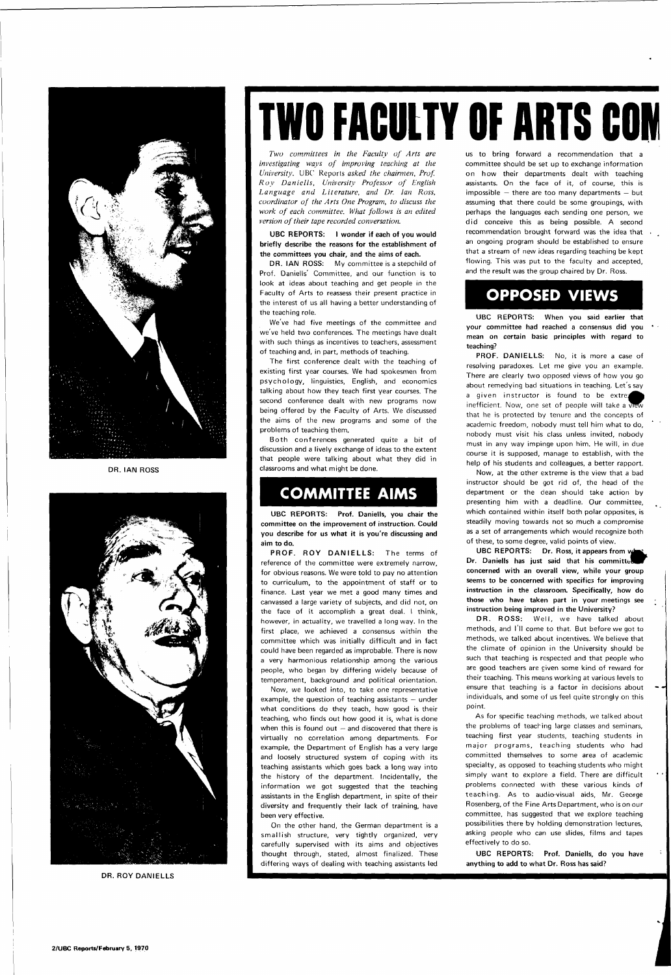

DR. IAN ROSS



DR. ROY DANIELLS

# **TWO FACULTY OF ARTS CON**

*Two committees in the Faculty of Arts are investigating ways of improving teaching at the University.* UBC Reports *asked the chairmen, Prof. Roy Daniells, University Professor of English Language and Literature, and Dr. Ian Ross, coordinator of the Arts One Program, to discuss the work of each committee. What follows is an edited version of their tape recorded conversation.* 

DR. IAN ROSS: My committee is a stepchild of Prof. Daniells' Committee, and our function is to look at ideas about teaching and get people in the Faculty of Arts to reassess their present practice in the interest of us all having a better understanding of the teaching role.

#### UBC REPORTS: I wonder if each of you would briefly describe the reasons for the establishment of the committees you chair, and the aims of each.

Both conferences generated quite a bit of discussion and a lively exchange of ideas to the extent that people were talking about what they did in classrooms and what might be done.

We've had five meetings of the committee and we've held two conferences. The meetings have dealt with such things as incentives to teachers, assessment of teaching and, in part, methods of teaching.

The first conference dealt with the teaching of existing first year courses. We had spokesmen from psychology , linguistics, English, and economics talking about how they teach first year courses. The second conference dealt with new programs now being offered by the Faculty of Arts. We discussed the aims of the new programs and some of the problems of teaching them.

PROF. ROY DANIELLS: The terms of reference of the committee were extremely narrow, for obvious reasons. We were told to pay no attention to curriculum, to the appointment of staff or to finance. Last year we met a good many times and canvassed a large variety of subjects, and did not, on the face of it accomplish a great deal. I think, however, in actuality, we travelled a long way. In the first place, we achieved a consensus within the committee which was initially difficult and in fact could have been regarded as improbable. There is now a very harmonious relationship among the various people, who began by differing widely because of temperament, background and political orientation.

Now, we looked into, to take one representative example, the question of teaching assistants — under what conditions do they teach, how good is their teaching, who finds out how good it is, what is done when this is found out  $-$  and discovered that there is

### **COMMITTEE AIMS**

UBC REPORTS: Prof. Daniells, you chair the committee on the improvement of instruction. Could you describe for us what it is you're discussing and aim to do.

PROF. DANIELLS: No, it is more a case of resolving paradoxes. Let me give you an example. There are clearly two opposed views of how you go about remedying bad situations in teaching. Let's say a given instructor is found to be extre inefficient. Now, one set of people will take a  $\overline{w}$ that he is protected by tenure and the concepts of academic freedom, nobody must tell him what to do, nobody must visit his class unless invited, nobody must in any way impinge upon him. He will, in due course it is supposed, manage to establish, with the help of his students and colleagues, a better rapport.

UBC REPORTS: Dr. Ross, it appears from what Dr. Daniells has just said that his committed a concerned with an overall view, while your group seems to be concerned with specifics for improving instruction in the classroom. Specifically, how do those who have taken part in your meetings see instruction being improved in the University?

virtually no correlation among departments. For example, the Department of English has a very large and loosely structured system of coping with its teaching assistants which goes back a long way into the history of the department. Incidentally, the information we got suggested that the teaching assistants in the English department, in spite of their diversity and frequently their lack of training, have been very effective.

DR. ROSS: Well, we have talked about methods, and I'll come to that. But before we got to methods, we talked about incentives. We believe that the climate of opinion in the University should be such that teaching is respected and that people who are good teachers are given some kind of reward for their teaching. This means working at various levels to ensure that teaching is a factor in decisions about individuals, and some of us feel quite strongly on this point.

On the other hand, the German department is a smallish structure, very tightly organized, very carefully supervised with its aims and objectives thought through, stated, almost finalized. These differing ways of dealing with teaching assistants led

us to bring forward a recommendation that a committee should be set up to exchange information on how their departments dealt with teaching assistants. On the face of it, of course, this is impossible  $-$  there are too many departments  $-$  but assuming that there could be some groupings, with perhaps the languages each sending one person, we did conceive this as being possible. A second recommendation brought forward was the idea that an ongoing program should be established to ensure that a stream of new ideas regarding teaching be kept flowing. This was put to the faculty and accepted, and the result was the group chaired by Dr. Ross.

### **OPPOSED VIEWS**

UBC REPORTS: When you said earlier that your committee had reached a consensus did you mean on certain basic principles with regard to teaching?

Now, at the other extreme is the view that a bad instructor should be got rid of, the head of the department or the dean should take action by presenting him with a deadline. Our committee, which contained within itself both polar opposites, is steadily moving towards not so much a compromise as a set of arrangements which would recognize both of these, to some degree, valid points of view.

As for specific teaching methods, we talked about the problems of teaching large classes and seminars,

teaching first year students, teaching students in major programs, teaching students who had committed themselves to some area of academic specialty, as opposed to teaching students who might simply want to explore a field. There are difficult problems connected with these various kinds of teaching. As to audio-visual aids, Mr. George Rosenberg, of the Fine Arts Department, who is on our committee, has suggested that we explore teaching possibilities there by holding demonstration lectures, asking people who can use slides, films and tapes effectively to do so.

UBC REPORTS: Prof. Daniells, do you have anything to add to what Dr. Ross has said?

2/UBC Reports/February 5, 1970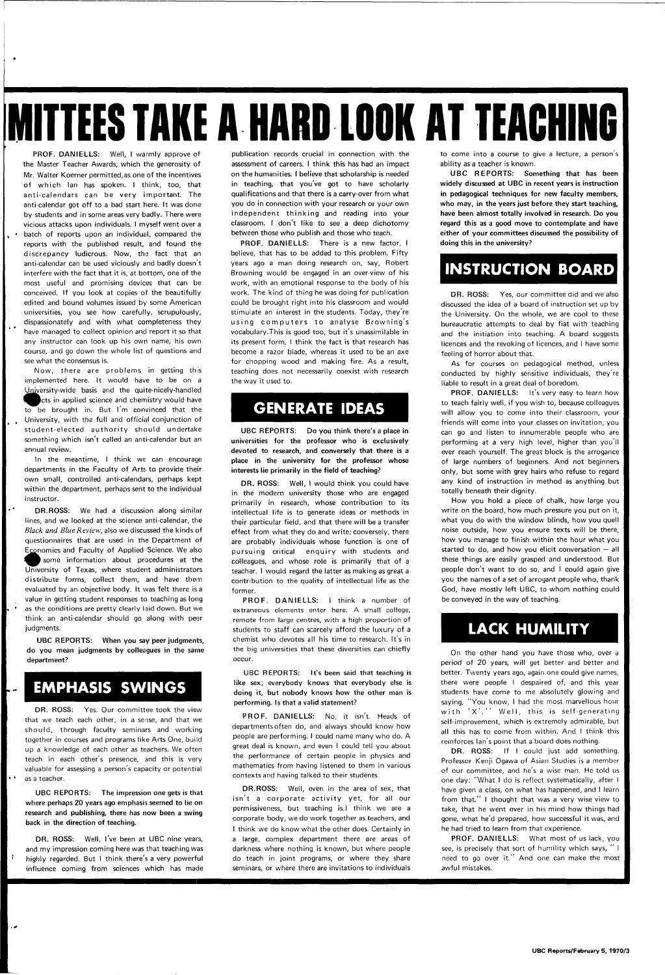# **IMITTEES TAKE A HARD LOOK AT TEACHING**

**PROF. DANIELLS:** Well, I warmly approve of the Master Teacher Awards, which the generosity of Mr. Walter Koerner permitted,as one of the incentives of which Ian has spoken. I think, too, that anti-calendars can be very important. The anti-calendar got off to a bad start here. It was done by students and in some areas very badly. There were vicious attacks upon individuals. I myself went over a batch of reports upon an individual, compared the reports with the published result, and found the discrepancy ludicrous. Now, the fact that an anti-calendar can be used viciously and badly doesn't interfere with the fact that it is, at bottom, one of the most useful and promising devices that can be conceived. If you look at copies of the beautifully edited and bound volumes issued by some American universities, you see how carefully, scrupulously, dispassionately and with what completeness they have managed to collect opinion ancl report it so that any instructor can look up his own name, his own course, and go down the whole list of questions and see what the consensus is.

Now, there are problems in getting this implemented here. It would have to be on a University-wide basis and the quite-nicely-handled **focts in applied science and chemistry would have** to be brought in. But I'm convinced that the University, with the full and official conjunction of student-elected authority should undertake something which isn't called an anti-calendar but an annual review.

**DR. ROSS:** Yes. Our committee took the view that we teach each other, in a sense, and that we should, through faculty seminars and working together in courses and programs like Arts One, build up a knowledge of each other as teachers. We often teach in each other's presence, and this is very valuable for assessing a person's capacity or potential as a teacher.

In the meantime, I think we can encourage departments in the Faculty of Arts to provide their own small, controlled anti-calendars, perhaps kept within the department, perhaps sent to the individual instructor.

**DR.ROSS:** We had a discussion along similar lines, and we looked at the science anti-calendar, the Black and Blue Review, also we discussed the kinds of questionnaires that are used in the Department of Economics and Faculty of Applied Science. We also some information about procedures at the University of Texas, where student administrators distribute forms, collect them, and have them evaluated by an objective body. It was felt there is a value in getting student responses to teaching as long as the conditions are pretty clearly laid down. But we think an anti-calendar should go along with peer judgments.

**UBC REPORTS: When you say peer judgments, do you mean judgments by colleagues in the same department?** 

### **EMPHASIS SWINGS**

•

**UBC REPORTS: The impression one gets is that where perhaps 20 years ago emphasis seemed to lie on research and publishing, there has now been a swing back in the direction of teaching.** 

J

**DR. ROSS:** Well, I've been at UBC nine years, and my impression coming here was that teaching was highly regarded. But I think there's a very powerful influence coming from sciences which has made

publication records crucial in connection with the assessment of careers. I think this has had an impact on the humanities. I believe that scholarship is needed in teaching, that you've **got** to have scholarly qualifications and that there is a carry-over from what you do in connection with your research or your own independent thinking and reading into your classroom. I don't like **to** see a deep dichotomy between those who publish and those who teach.

**PROF. DANIELLS:** There is a new factor, I believe, that has to be added to this problem. Fifty years ago a man doing research on, say, Robert Browning would be engaged in an over-view of his work, with an emotional response to the body of his work. The kind of thing he was doing for publication could be brought right into his classroom and would stimulate an interest in the students. Today, they're using computers to analyse Browning's vocabulary.This is good too, but it's unassimilable in its present form. I think the fact is that research has become a razor blade, whereas it used to be an axe for chopping wood and making fire. As a result, teaching does not necessarily coexist with research the way it used to.

### **GENERATE IDEAS**

**UBC REPORTS: Do you think there's a place in universities for the professor who is exclusively devoted to research, and conversely that there is a place in the university for the professor whose interests lie primarily in the field of teaching?** 

**DR. ROSS:** Well, **I** would think you could have in the modern university those who are engaged primarily in research, whose contribution to its intellectual life is to generate ideas or methods in their particular field, and that there will be a transfer effect from what they do and write; conversely, there are probably individuals whose function is one of pursuing critical enquiry with students and colleagues, and whose role is primarily that of a teacher. I would regard the latter as making as great a contribution to the quality of intellectual life as the former.

**PROF . DANIELLS:** I think a number of extraneous elements enter here. A small college, remote from large centres, with a high proportion of students to staff can scarcely afford the luxury of a chemist who devotes all his time to research. It's in the big universities that these diversities can chiefly occur.

**UBC REPORTS: It's been said that teaching** is **like sex; everybody knows that** everybody else is **doing it, but nobody knows how the other man is performing. Is that a valid statement?** 

**PROF. DANIELLS:** No, it isn't. Heads of departments often do, and always should know how people are performing. I could name many who do. A great deal is known, and even I could tell you about the performance of certain people in physics and mathematics from having listened to them in various contexts and having talked to their students.

**DR.ROSS:** Well, even in the area of sex, that isn't a corporate activity yet, for all our permissiveness, but teaching is.I think we are a corporate body, we do work together as teachers, and I think we do know what the other does. Certainly in a large, complex department there are areas of darkness where nothing is known, but where people do teach in joint programs, or where they share seminars, or where there are invitations to individuals

to come into a course to give a lecture, a person's ability as a teacher is known.

**UBC REPORTS: Something that has been widely discussed at UBC in recent years is instruction in pedagogical techniques for new faculty members, who may, in the years just before they start teaching, have been almost totally involved in research. Do you regard this as a good move to contemplate and have either of your committees discussed the possibility of doing this in the university?** 

### **INSTRUCTION BOARD**

**DR. ROSS:** Yes, our committee did and we also discussed the idea of a board of instruction set up by the University. On the whole, we are cool to these bureaucratic attempts to deal by fiat with teaching and the initiation into teaching. A board suggests licences and the revoking of licences, and I have some feeling of horror about that.

As for courses on pedagogical method, unless conducted by highly sensitive individuals, they're liable to result in a great deal of boredom.

**PROF. DANIELLS:** It's very easy to learn how to teach fairly well, if you wish to, because colleagues will allow you to come into their classroom, your friends will come into your classes on invitation, you can go and listen to innumerable people who are performing at a very high level, higher than you'll ever reach yourself. The great block is the arrogance of large numbers of beginners. And not beginners only, but some with grey hairs who refuse to regard any kind of instruction in method as anything but totally beneath their dignity.

How you hold a piece of chalk, how large you write on the board, how much pressure you put on it, what you do with the window blinds, how you quell noise outside, how you ensure texts will be there, how you manage to finish within the hour what you started to do, and how you elicit conversation  $-$  all these things are easily grasped and understood. But people don't want to do so, and I could again give you the names of a set of arrogant people who, thank God, have mostly left UBC, to whom nothing could be conveyed in the way of teaching.

### **LACK HUMILITY**

On the other hand you have those who, over a period of 20 years, will get better and better and better. Twenty years ago, again one could give names, there were people I despaired of, and this year students have come to me absolutely glowing and saying, "You know, I had the most marvellous hour with 'X'.'' Well, this is self-generating self-improvement, which is extremely admirable, but all this has to come from within. And I think this

reinforces lan's point that a board does nothing.

**DR. ROSS: If I** could just add something. Professor Kenji Ogawa of Asian Studies is a member of our committee, and he's a wise man. He told us one day: "What I do is reflect systematically, after I have given a class, on what has happened, and I learn from that." I thought that was a very wise view to take, that he went over in his mind how things had gone, what he'd prepared, how successful it was, and he had tried to learn from that experience.

**PROF. DANIELLS:** What most of us lack, you see, is precisely that sort of humility which says, " I need to go over it." And one can make the most awful mistakes.